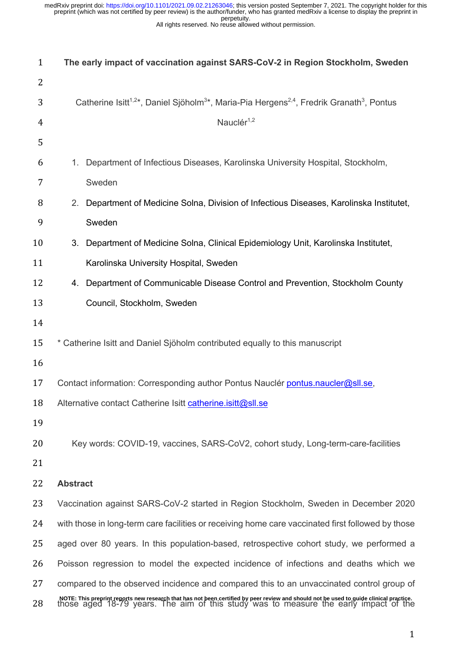All rights reserved. No reuse allowed without permission.

| $\mathbf{1}$ | The early impact of vaccination against SARS-CoV-2 in Region Stockholm, Sweden                                                                                                                                                 |  |  |  |  |
|--------------|--------------------------------------------------------------------------------------------------------------------------------------------------------------------------------------------------------------------------------|--|--|--|--|
| 2            |                                                                                                                                                                                                                                |  |  |  |  |
| 3            | Catherine Isitt <sup>1,2*</sup> , Daniel Sjöholm <sup>3*</sup> , Maria-Pia Hergens <sup>2,4</sup> , Fredrik Granath <sup>3</sup> , Pontus                                                                                      |  |  |  |  |
| 4            | Nauclér <sup>1,2</sup>                                                                                                                                                                                                         |  |  |  |  |
| 5            |                                                                                                                                                                                                                                |  |  |  |  |
| 6            | Department of Infectious Diseases, Karolinska University Hospital, Stockholm,<br>1.                                                                                                                                            |  |  |  |  |
| 7            | Sweden                                                                                                                                                                                                                         |  |  |  |  |
| 8            | 2. Department of Medicine Solna, Division of Infectious Diseases, Karolinska Institutet,                                                                                                                                       |  |  |  |  |
| 9            | Sweden                                                                                                                                                                                                                         |  |  |  |  |
| 10           | 3. Department of Medicine Solna, Clinical Epidemiology Unit, Karolinska Institutet,                                                                                                                                            |  |  |  |  |
| 11           | Karolinska University Hospital, Sweden                                                                                                                                                                                         |  |  |  |  |
| 12           | 4. Department of Communicable Disease Control and Prevention, Stockholm County                                                                                                                                                 |  |  |  |  |
| 13           | Council, Stockholm, Sweden                                                                                                                                                                                                     |  |  |  |  |
| 14           |                                                                                                                                                                                                                                |  |  |  |  |
| 15           | * Catherine Isitt and Daniel Sjöholm contributed equally to this manuscript                                                                                                                                                    |  |  |  |  |
| 16           |                                                                                                                                                                                                                                |  |  |  |  |
| 17           | Contact information: Corresponding author Pontus Nauclér pontus.naucler@sll.se,                                                                                                                                                |  |  |  |  |
| 18           | Alternative contact Catherine Isitt catherine.isitt@sll.se                                                                                                                                                                     |  |  |  |  |
| 19           |                                                                                                                                                                                                                                |  |  |  |  |
| 20           | Key words: COVID-19, vaccines, SARS-CoV2, cohort study, Long-term-care-facilities                                                                                                                                              |  |  |  |  |
| 21           |                                                                                                                                                                                                                                |  |  |  |  |
| 22           | <b>Abstract</b>                                                                                                                                                                                                                |  |  |  |  |
| 23           | Vaccination against SARS-CoV-2 started in Region Stockholm, Sweden in December 2020                                                                                                                                            |  |  |  |  |
| 24           | with those in long-term care facilities or receiving home care vaccinated first followed by those                                                                                                                              |  |  |  |  |
| 25           | aged over 80 years. In this population-based, retrospective cohort study, we performed a                                                                                                                                       |  |  |  |  |
| 26           | Poisson regression to model the expected incidence of infections and deaths which we                                                                                                                                           |  |  |  |  |
| 27           | compared to the observed incidence and compared this to an unvaccinated control group of                                                                                                                                       |  |  |  |  |
| 28           | NOTE: This preprint reports new research that has not been certified by peer review and should not be used to guide clinical practice.<br>those aged 18-79 years. The aim of this study was to measure the early impact of the |  |  |  |  |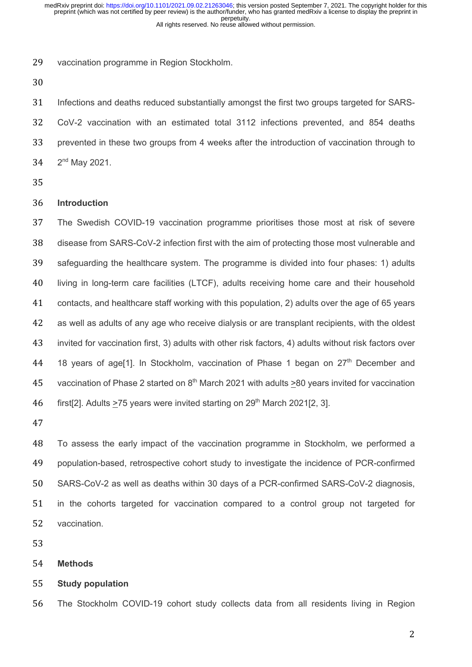vaccination programme in Region Stockholm.

 Infections and deaths reduced substantially amongst the first two groups targeted for SARS- CoV-2 vaccination with an estimated total 3112 infections prevented, and 854 deaths prevented in these two groups from 4 weeks after the introduction of vaccination through to  $2^{nd}$  May 2021.

## **Introduction**

 The Swedish COVID-19 vaccination programme prioritises those most at risk of severe disease from SARS-CoV-2 infection first with the aim of protecting those most vulnerable and safeguarding the healthcare system. The programme is divided into four phases: 1) adults living in long-term care facilities (LTCF), adults receiving home care and their household contacts, and healthcare staff working with this population, 2) adults over the age of 65 years as well as adults of any age who receive dialysis or are transplant recipients, with the oldest invited for vaccination first, 3) adults with other risk factors, 4) adults without risk factors over 44 18 years of age[1]. In Stockholm, vaccination of Phase 1 began on  $27<sup>th</sup>$  December and 45 vaccination of Phase 2 started on  $8<sup>th</sup>$  March 2021 with adults >80 years invited for vaccination 46 first[2]. Adults >75 years were invited starting on  $29<sup>th</sup>$  March 2021[2, 3].

 To assess the early impact of the vaccination programme in Stockholm, we performed a population-based, retrospective cohort study to investigate the incidence of PCR-confirmed SARS-CoV-2 as well as deaths within 30 days of a PCR-confirmed SARS-CoV-2 diagnosis, in the cohorts targeted for vaccination compared to a control group not targeted for vaccination.

**Methods**

### **Study population**

The Stockholm COVID-19 cohort study collects data from all residents living in Region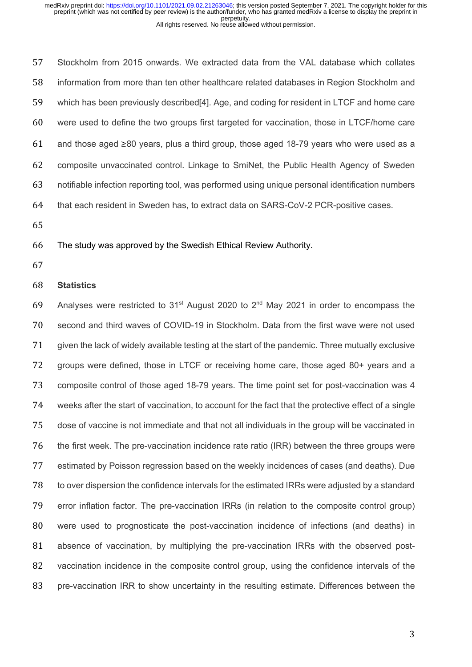Stockholm from 2015 onwards. We extracted data from the VAL database which collates information from more than ten other healthcare related databases in Region Stockholm and which has been previously described[4]. Age, and coding for resident in LTCF and home care were used to define the two groups first targeted for vaccination, those in LTCF/home care 61 and those aged  $\geq 80$  years, plus a third group, those aged 18-79 years who were used as a composite unvaccinated control. Linkage to SmiNet, the Public Health Agency of Sweden notifiable infection reporting tool, was performed using unique personal identification numbers that each resident in Sweden has, to extract data on SARS-CoV-2 PCR-positive cases.

## The study was approved by the Swedish Ethical Review Authority.

## **Statistics**

69 Analyses were restricted to 31<sup>st</sup> August 2020 to  $2<sup>nd</sup>$  May 2021 in order to encompass the second and third waves of COVID-19 in Stockholm. Data from the first wave were not used given the lack of widely available testing at the start of the pandemic. Three mutually exclusive groups were defined, those in LTCF or receiving home care, those aged 80+ years and a composite control of those aged 18-79 years. The time point set for post-vaccination was 4 weeks after the start of vaccination, to account for the fact that the protective effect of a single dose of vaccine is not immediate and that not all individuals in the group will be vaccinated in the first week. The pre-vaccination incidence rate ratio (IRR) between the three groups were estimated by Poisson regression based on the weekly incidences of cases (and deaths). Due to over dispersion the confidence intervals for the estimated IRRs were adjusted by a standard error inflation factor. The pre-vaccination IRRs (in relation to the composite control group) were used to prognosticate the post-vaccination incidence of infections (and deaths) in absence of vaccination, by multiplying the pre-vaccination IRRs with the observed post- vaccination incidence in the composite control group, using the confidence intervals of the 83 pre-vaccination IRR to show uncertainty in the resulting estimate. Differences between the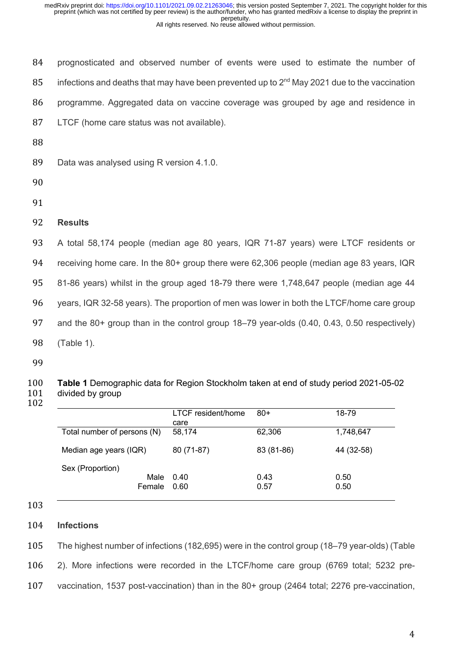prognosticated and observed number of events were used to estimate the number of 85 infections and deaths that may have been prevented up to  $2<sup>nd</sup>$  May 2021 due to the vaccination programme. Aggregated data on vaccine coverage was grouped by age and residence in LTCF (home care status was not available).

88

89 Data was analysed using R version 4.1.0.

- 90
- 91

# 92 **Results**

 A total 58,174 people (median age 80 years, IQR 71-87 years) were LTCF residents or receiving home care. In the 80+ group there were 62,306 people (median age 83 years, IQR 81-86 years) whilst in the group aged 18-79 there were 1,748,647 people (median age 44 years, IQR 32-58 years). The proportion of men was lower in both the LTCF/home care group and the 80+ group than in the control group 18–79 year-olds (0.40, 0.43, 0.50 respectively) (Table 1).

99

#### 100 **Table 1** Demographic data for Region Stockholm taken at end of study period 2021-05-02 101 divided by group 102

|                                    | LTCF resident/home<br>care | $80+$        | 18-79        |
|------------------------------------|----------------------------|--------------|--------------|
| Total number of persons (N)        | 58,174                     | 62,306       | 1,748,647    |
| Median age years (IQR)             | 80 (71-87)                 | 83 (81-86)   | 44 (32-58)   |
| Sex (Proportion)<br>Male<br>Female | 0.40<br>0.60               | 0.43<br>0.57 | 0.50<br>0.50 |

103

# 104 **Infections**

105 The highest number of infections (182,695) were in the control group (18–79 year-olds) (Table 106 2). More infections were recorded in the LTCF/home care group (6769 total; 5232 pre-107 vaccination, 1537 post-vaccination) than in the 80+ group (2464 total; 2276 pre-vaccination,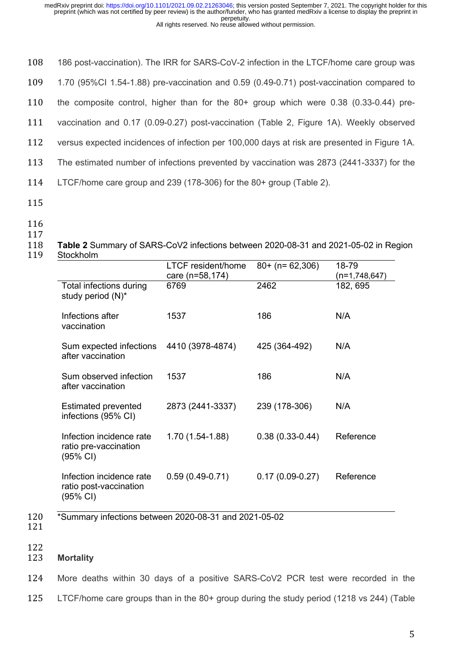108 186 post-vaccination). The IRR for SARS-CoV-2 infection in the LTCF/home care group was 109 1.70 (95%CI 1.54-1.88) pre-vaccination and 0.59 (0.49-0.71) post-vaccination compared to

110 the composite control, higher than for the 80+ group which were 0.38 (0.33-0.44) pre-

111 vaccination and 0.17 (0.09-0.27) post-vaccination (Table 2, Figure 1A). Weekly observed

112 versus expected incidences of infection per 100,000 days at risk are presented in Figure 1A.

- 113 The estimated number of infections prevented by vaccination was 2873 (2441-3337) for the
- 114 LTCF/home care group and 239 (178-306) for the 80+ group (Table 2).
- 115
- 
- 116 117
- 118 **Table 2** Summary of SARS-CoV2 infections between 2020-08-31 and 2021-05-02 in Region
- 119 Stockholm

|                                                                          | <b>LTCF</b> resident/home<br>care (n=58,174) | $80+$ (n= 62,306)   | 18-79<br>(n=1,748,647) |
|--------------------------------------------------------------------------|----------------------------------------------|---------------------|------------------------|
| Total infections during<br>study period (N)*                             | 6769                                         | 2462                | 182, 695               |
| Infections after<br>vaccination                                          | 1537                                         | 186                 | N/A                    |
| Sum expected infections<br>after vaccination                             | 4410 (3978-4874)                             | 425 (364-492)       | N/A                    |
| Sum observed infection<br>after vaccination                              | 1537                                         | 186                 | N/A                    |
| <b>Estimated prevented</b><br>infections (95% CI)                        | 2873 (2441-3337)                             | 239 (178-306)       | N/A                    |
| Infection incidence rate<br>ratio pre-vaccination<br>$(95% \text{ Cl})$  | 1.70 (1.54-1.88)                             | $0.38(0.33 - 0.44)$ | Reference              |
| Infection incidence rate<br>ratio post-vaccination<br>$(95% \text{ Cl})$ | $0.59(0.49-0.71)$                            | $0.17(0.09-0.27)$   | Reference              |

121

120 \*Summary infections between 2020-08-31 and 2021-05-02

#### 122 123 **Mortality**

124 More deaths within 30 days of a positive SARS-CoV2 PCR test were recorded in the

125 LTCF/home care groups than in the 80+ group during the study period (1218 vs 244) (Table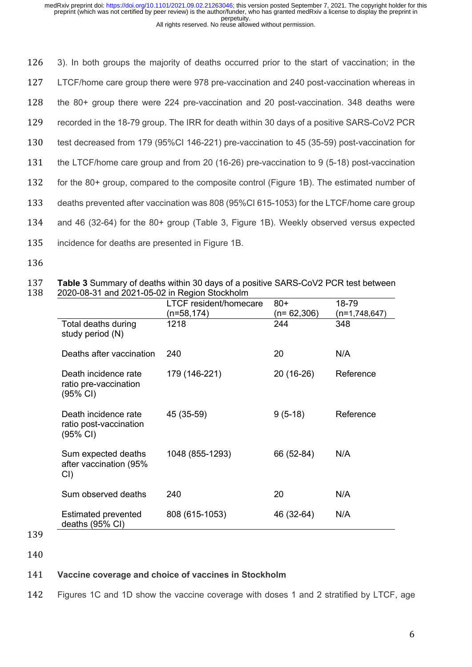3). In both groups the majority of deaths occurred prior to the start of vaccination; in the LTCF/home care group there were 978 pre-vaccination and 240 post-vaccination whereas in the 80+ group there were 224 pre-vaccination and 20 post-vaccination. 348 deaths were recorded in the 18-79 group. The IRR for death within 30 days of a positive SARS-CoV2 PCR test decreased from 179 (95%CI 146-221) pre-vaccination to 45 (35-59) post-vaccination for the LTCF/home care group and from 20 (16-26) pre-vaccination to 9 (5-18) post-vaccination for the 80+ group, compared to the composite control (Figure 1B). The estimated number of deaths prevented after vaccination was 808 (95%CI 615-1053) for the LTCF/home care group and 46 (32-64) for the 80+ group (Table 3, Figure 1B). Weekly observed versus expected incidence for deaths are presented in Figure 1B.

136

|                                                                      | <b>LTCF</b> resident/homecare<br>$(n=58, 174)$ | $80+$<br>$(n=62,306)$ | 18-79<br>(n=1,748,647) |
|----------------------------------------------------------------------|------------------------------------------------|-----------------------|------------------------|
| Total deaths during<br>study period (N)                              | 1218                                           | 244                   | 348                    |
| Deaths after vaccination                                             | 240                                            | 20                    | N/A                    |
| Death incidence rate<br>ratio pre-vaccination<br>(95% CI)            | 179 (146-221)                                  | 20 (16-26)            | Reference              |
| Death incidence rate<br>ratio post-vaccination<br>$(95% \text{ Cl})$ | 45 (35-59)                                     | $9(5-18)$             | Reference              |
| Sum expected deaths<br>after vaccination (95%<br>CI)                 | 1048 (855-1293)                                | 66 (52-84)            | N/A                    |
| Sum observed deaths                                                  | 240                                            | 20                    | N/A                    |
| Estimated prevented<br>deaths (95% CI)                               | 808 (615-1053)                                 | 46 (32-64)            | N/A                    |

137 **Table 3** Summary of deaths within 30 days of a positive SARS-CoV2 PCR test between 138 2020-08-31 and 2021-05-02 in Region Stockholm

- 139
- 140

# 141 **Vaccine coverage and choice of vaccines in Stockholm**

142 Figures 1C and 1D show the vaccine coverage with doses 1 and 2 stratified by LTCF, age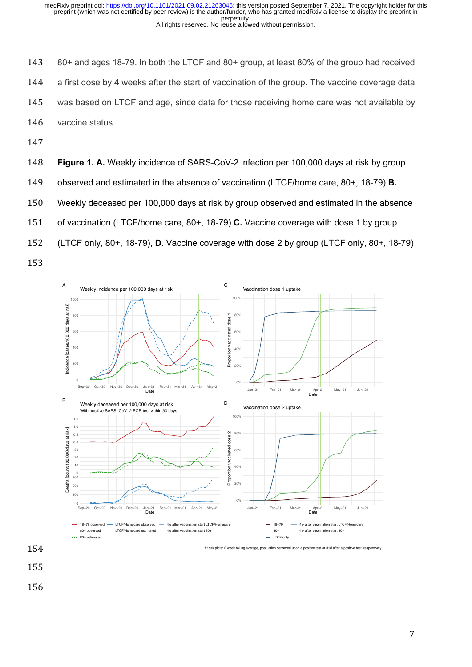80+ and ages 18-79. In both the LTCF and 80+ group, at least 80% of the group had received a first dose by 4 weeks after the start of vaccination of the group. The vaccine coverage data was based on LTCF and age, since data for those receiving home care was not available by vaccine status.

147

148 **Figure 1. A.** Weekly incidence of SARS-CoV-2 infection per 100,000 days at risk by group

149 observed and estimated in the absence of vaccination (LTCF/home care, 80+, 18-79) **B.**

150 Weekly deceased per 100,000 days at risk by group observed and estimated in the absence

151 of vaccination (LTCF/home care, 80+, 18-79) **C.** Vaccine coverage with dose 1 by group

152 (LTCF only, 80+, 18-79), **D.** Vaccine coverage with dose 2 by group (LTCF only, 80+, 18-79)





- 155
- 156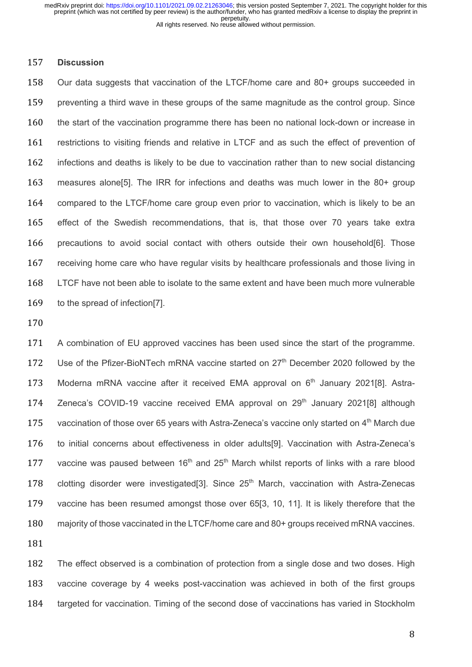#### **Discussion**

 Our data suggests that vaccination of the LTCF/home care and 80+ groups succeeded in preventing a third wave in these groups of the same magnitude as the control group. Since the start of the vaccination programme there has been no national lock-down or increase in restrictions to visiting friends and relative in LTCF and as such the effect of prevention of infections and deaths is likely to be due to vaccination rather than to new social distancing measures alone[5]. The IRR for infections and deaths was much lower in the 80+ group compared to the LTCF/home care group even prior to vaccination, which is likely to be an effect of the Swedish recommendations, that is, that those over 70 years take extra precautions to avoid social contact with others outside their own household[6]. Those receiving home care who have regular visits by healthcare professionals and those living in LTCF have not been able to isolate to the same extent and have been much more vulnerable to the spread of infection[7].

 A combination of EU approved vaccines has been used since the start of the programme. 172 Use of the Pfizer-BioNTech mRNA vaccine started on 27<sup>th</sup> December 2020 followed by the 173 Moderna mRNA vaccine after it received EMA approval on  $6<sup>th</sup>$  January 2021[8]. Astra-174 Zeneca's COVID-19 vaccine received EMA approval on  $29<sup>th</sup>$  January 2021[8] although 175 vaccination of those over 65 years with Astra-Zeneca's vaccine only started on 4<sup>th</sup> March due to initial concerns about effectiveness in older adults[9]. Vaccination with Astra-Zeneca's 177 vaccine was paused between  $16<sup>th</sup>$  and  $25<sup>th</sup>$  March whilst reports of links with a rare blood 178 clotting disorder were investigated[3]. Since  $25<sup>th</sup>$  March, vaccination with Astra-Zenecas vaccine has been resumed amongst those over 65[3, 10, 11]. It is likely therefore that the 180 majority of those vaccinated in the LTCF/home care and 80+ groups received mRNA vaccines. 

 The effect observed is a combination of protection from a single dose and two doses. High vaccine coverage by 4 weeks post-vaccination was achieved in both of the first groups targeted for vaccination. Timing of the second dose of vaccinations has varied in Stockholm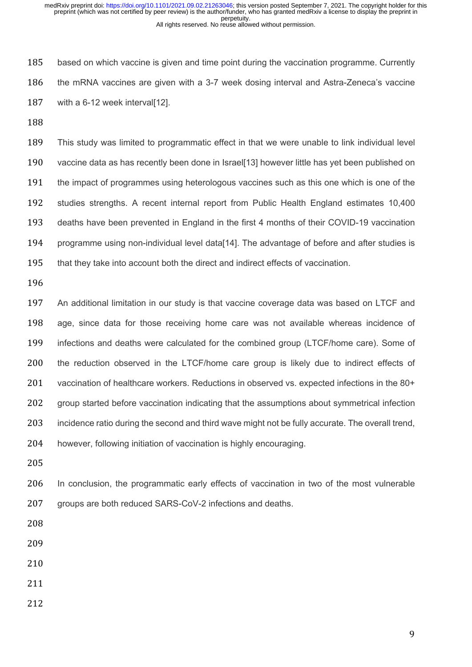based on which vaccine is given and time point during the vaccination programme. Currently the mRNA vaccines are given with a 3-7 week dosing interval and Astra-Zeneca's vaccine with a 6-12 week interval[12].

 This study was limited to programmatic effect in that we were unable to link individual level vaccine data as has recently been done in Israel[13] however little has yet been published on 191 the impact of programmes using heterologous vaccines such as this one which is one of the studies strengths. A recent internal report from Public Health England estimates 10,400 deaths have been prevented in England in the first 4 months of their COVID-19 vaccination programme using non-individual level data[14]. The advantage of before and after studies is that they take into account both the direct and indirect effects of vaccination.

 An additional limitation in our study is that vaccine coverage data was based on LTCF and age, since data for those receiving home care was not available whereas incidence of infections and deaths were calculated for the combined group (LTCF/home care). Some of the reduction observed in the LTCF/home care group is likely due to indirect effects of vaccination of healthcare workers. Reductions in observed vs. expected infections in the 80+ 202 group started before vaccination indicating that the assumptions about symmetrical infection incidence ratio during the second and third wave might not be fully accurate. The overall trend, however, following initiation of vaccination is highly encouraging.

 In conclusion, the programmatic early effects of vaccination in two of the most vulnerable 207 groups are both reduced SARS-CoV-2 infections and deaths.

- 
- 
- 
-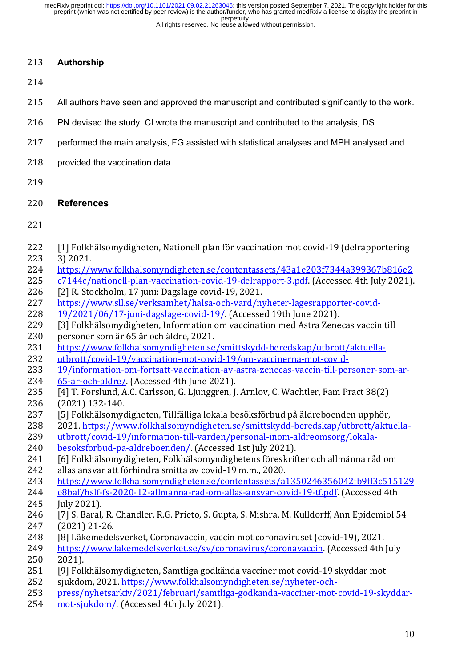# **Authorship**

- All authors have seen and approved the manuscript and contributed significantly to the work.
- PN devised the study, CI wrote the manuscript and contributed to the analysis, DS
- performed the main analysis, FG assisted with statistical analyses and MPH analysed and
- 218 provided the vaccination data.
- 

# **References**

- 222 [1] Folkhälsomydigheten, Nationell plan för vaccination mot covid-19 (delrapportering
- 3) 2021.
- https://www.folkhalsomyndigheten.se/contentassets/43a1e203f7344a399367b816e2
- 225 c7144c/nationell-plan-vaccination-covid-19-delrapport-3.pdf. (Accessed 4th July 2021).
- 226 [2] R. Stockholm, 17 juni: Dagsläge covid-19, 2021.
- https://www.sll.se/verksamhet/halsa-och-vard/nyheter-lagesrapporter-covid-
- 19/2021/06/17-juni-dagslage-covid-19/. (Accessed 19th June 2021).
- [3] Folkhälsomydigheten, Information om vaccination med Astra Zenecas vaccin till personer som är 65 år och äldre, 2021.
- 231 https://www.folkhalsomyndigheten.se/smittskydd-beredskap/utbrott/aktuella-
- utbrott/covid-19/vaccination-mot-covid-19/om-vaccinerna-mot-covid-
- 19/information-om-fortsatt-vaccination-av-astra-zenecas-vaccin-till-personer-som-ar-234 65-ar-och-aldre/. (Accessed 4th June 2021).
- 235 [4] T. Forslund, A.C. Carlsson, G. Ljunggren, J. Arnlov, C. Wachtler, Fam Pract 38(2) (2021) 132-140.
- [5] Folkhälsomydigheten, Tillfälliga lokala besöksförbud på äldreboenden upphör,
- 238 2021. https://www.folkhalsomyndigheten.se/smittskydd-beredskap/utbrott/aktuella-
- utbrott/covid-19/information-till-varden/personal-inom-aldreomsorg/lokala-
- besoksforbud-pa-aldreboenden/. (Accessed 1st July 2021).
- 241 [6] Folkhälsomydigheten, Folkhälsomyndighetens föreskrifter och allmänna råd om
- 242 allas ansvar att förhindra smitta av covid-19 m.m., 2020.
- https://www.folkhalsomyndigheten.se/contentassets/a1350246356042fb9ff3c515129
- e8baf/hslf-fs-2020-12-allmanna-rad-om-allas-ansvar-covid-19-tf.pdf. (Accessed 4th **Iuly** 2021).
- [7] S. Baral, R. Chandler, R.G. Prieto, S. Gupta, S. Mishra, M. Kulldorff, Ann Epidemiol 54 247 (2021) 21-26.
- 248 [8] Läkemedelsverket, Coronavaccin, vaccin mot coronaviruset (covid-19), 2021.
- 249 https://www.lakemedelsverket.se/sv/coronavirus/coronavaccin. (Accessed 4th July 2021).
- [9] Folkhälsomydigheten, Samtliga godkända vacciner mot covid-19 skyddar mot
- sjukdom, 2021. https://www.folkhalsomyndigheten.se/nyheter-och-
- press/nyhetsarkiv/2021/februari/samtliga-godkanda-vacciner-mot-covid-19-skyddar-
- 254 mot-sjukdom/. (Accessed 4th July 2021).